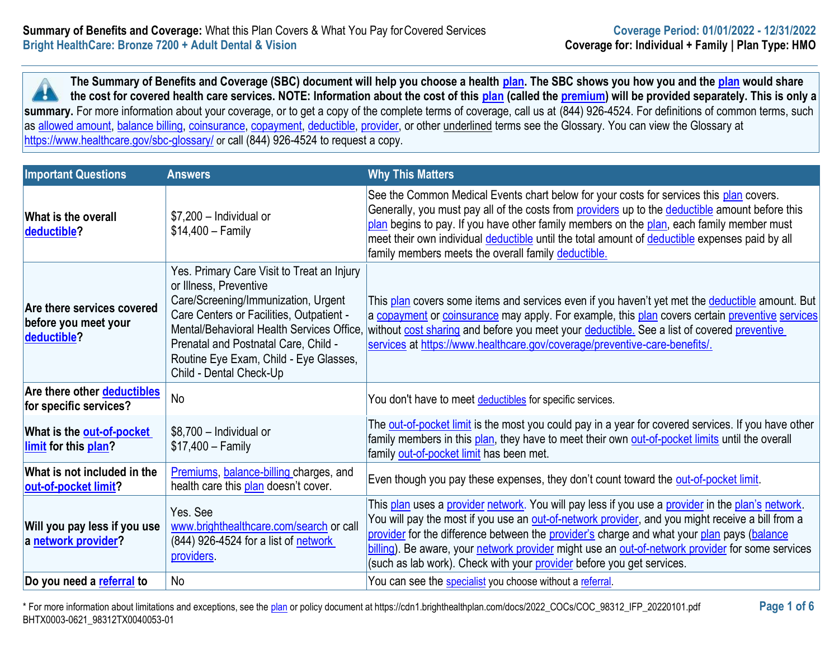**The Summary of Benefits and Coverage (SBC) document will help you choose a health [plan.](https://www.healthcare.gov/sbc-glossary/#plan) The SBC shows you how you and the [plan](https://www.healthcare.gov/sbc-glossary/#plan) would share the cost for covered health care services. NOTE: Information about the cost of this [plan](https://www.healthcare.gov/sbc-glossary/#plan) (called the [premium\)](https://www.healthcare.gov/sbc-glossary/#premium) will be provided separately. This is only a A** summary. For more information about your coverage, or to get a copy of the complete terms of coverage, call us at (844) 926-4524. For definitions of common terms, such as [allowed amount,](https://www.healthcare.gov/sbc-glossary/#allowed-amount) [balance billing,](https://www.healthcare.gov/sbc-glossary/#balance-billing) [coinsurance,](https://www.healthcare.gov/sbc-glossary/#coinsurance) [copayment,](https://www.healthcare.gov/sbc-glossary/#copayment) [deductible,](https://www.healthcare.gov/sbc-glossary/#deductible) [provider,](https://www.healthcare.gov/sbc-glossary/#provider) or other underlined terms see the Glossary. You can view the Glossary at <https://www.healthcare.gov/sbc-glossary/> or call (844) 926-4524 to request a copy.

| <b>Important Questions</b>                                        | <b>Answers</b>                                                                                                                                                                                                                                                                                                    | <b>Why This Matters</b>                                                                                                                                                                                                                                                                                                                                                                                                                                                          |
|-------------------------------------------------------------------|-------------------------------------------------------------------------------------------------------------------------------------------------------------------------------------------------------------------------------------------------------------------------------------------------------------------|----------------------------------------------------------------------------------------------------------------------------------------------------------------------------------------------------------------------------------------------------------------------------------------------------------------------------------------------------------------------------------------------------------------------------------------------------------------------------------|
| What is the overall<br>deductible?                                | $$7,200$ - Individual or<br>$$14,400 - Family$                                                                                                                                                                                                                                                                    | See the Common Medical Events chart below for your costs for services this plan covers.<br>Generally, you must pay all of the costs from providers up to the deductible amount before this<br>plan begins to pay. If you have other family members on the plan, each family member must<br>meet their own individual deductible until the total amount of deductible expenses paid by all<br>family members meets the overall family deductible.                                 |
| Are there services covered<br>before you meet your<br>deductible? | Yes. Primary Care Visit to Treat an Injury<br>or Illness, Preventive<br>Care/Screening/Immunization, Urgent<br>Care Centers or Facilities, Outpatient -<br>Mental/Behavioral Health Services Office.<br>Prenatal and Postnatal Care, Child -<br>Routine Eye Exam, Child - Eye Glasses,<br>Child - Dental Check-Up | This plan covers some items and services even if you haven't yet met the deductible amount. But<br>a copayment or coinsurance may apply. For example, this plan covers certain preventive services<br>without cost sharing and before you meet your deductible. See a list of covered preventive<br>services at https://www.healthcare.gov/coverage/preventive-care-benefits/.                                                                                                   |
| Are there other <b>deductibles</b><br>for specific services?      | No                                                                                                                                                                                                                                                                                                                | You don't have to meet deductibles for specific services.                                                                                                                                                                                                                                                                                                                                                                                                                        |
| What is the <b>out-of-pocket</b><br>limit for this plan?          | $$8,700$ - Individual or<br>$$17,400 - Family$                                                                                                                                                                                                                                                                    | The out-of-pocket limit is the most you could pay in a year for covered services. If you have other<br>family members in this plan, they have to meet their own out-of-pocket limits until the overall<br>family out-of-pocket limit has been met.                                                                                                                                                                                                                               |
| What is not included in the<br>out-of-pocket limit?               | Premiums, balance-billing charges, and<br>health care this plan doesn't cover.                                                                                                                                                                                                                                    | Even though you pay these expenses, they don't count toward the out-of-pocket limit.                                                                                                                                                                                                                                                                                                                                                                                             |
| Will you pay less if you use<br>a network provider?               | Yes. See<br>www.brighthealthcare.com/search or call<br>(844) 926-4524 for a list of network<br>providers.                                                                                                                                                                                                         | This plan uses a provider network. You will pay less if you use a provider in the plan's network.<br>You will pay the most if you use an out-of-network provider, and you might receive a bill from a<br>provider for the difference between the provider's charge and what your plan pays (balance<br>billing). Be aware, your network provider might use an out-of-network provider for some services<br>(such as lab work). Check with your provider before you get services. |
| Do you need a referral to                                         | No                                                                                                                                                                                                                                                                                                                | You can see the specialist you choose without a referral.                                                                                                                                                                                                                                                                                                                                                                                                                        |

\* For more information about limitations and exceptions, see the [plan](https://www.healthcare.gov/sbc-glossary/#plan) or policy document at https://cdn1.brighthealthplan.com/docs/2022\_COCs/COC\_98312\_IFP\_20220101.pdf **Page 1 of 6** BHTX0003-0621\_98312TX0040053-01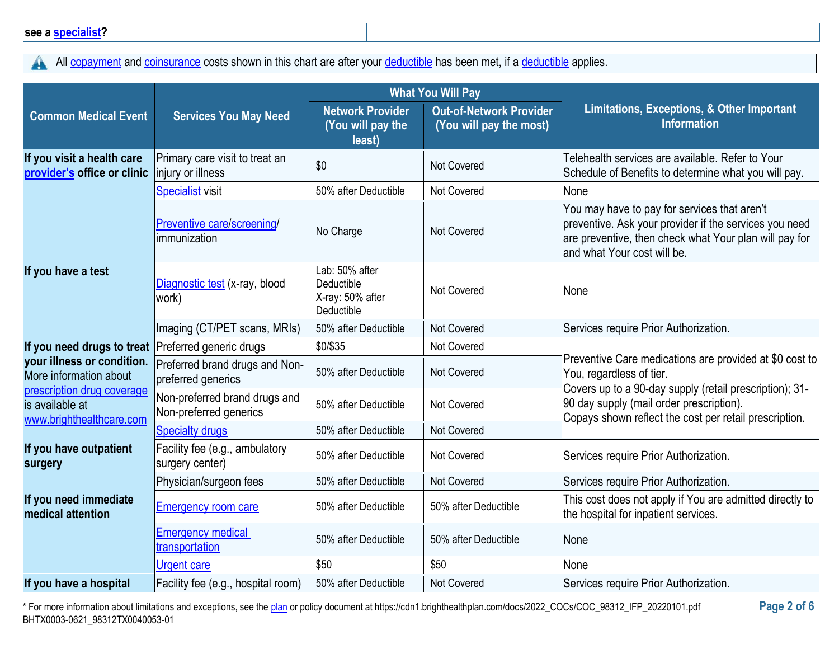All [copayment](https://www.healthcare.gov/sbc-glossary/#copayment) and [coinsurance](https://www.healthcare.gov/sbc-glossary/#coinsurance) costs shown in this chart are after your [deductible](https://www.healthcare.gov/sbc-glossary/#deductible) has been met, if a deductible applies.  $\blacktriangle$ 

|                                                                           |                                                         | <b>What You Will Pay</b>                                       |                                                           |                                                                                                                                                                                                 |
|---------------------------------------------------------------------------|---------------------------------------------------------|----------------------------------------------------------------|-----------------------------------------------------------|-------------------------------------------------------------------------------------------------------------------------------------------------------------------------------------------------|
| <b>Common Medical Event</b>                                               | <b>Services You May Need</b>                            | <b>Network Provider</b><br>(You will pay the<br>least)         | <b>Out-of-Network Provider</b><br>(You will pay the most) | Limitations, Exceptions, & Other Important<br><b>Information</b>                                                                                                                                |
| If you visit a health care<br>provider's office or clinic                 | Primary care visit to treat an<br>injury or illness     | \$0                                                            | Not Covered                                               | Telehealth services are available. Refer to Your<br>Schedule of Benefits to determine what you will pay.                                                                                        |
|                                                                           | <b>Specialist visit</b>                                 | 50% after Deductible                                           | Not Covered                                               | None                                                                                                                                                                                            |
|                                                                           | Preventive care/screening/<br>limmunization             | No Charge                                                      | Not Covered                                               | You may have to pay for services that aren't<br>preventive. Ask your provider if the services you need<br>are preventive, then check what Your plan will pay for<br>and what Your cost will be. |
| If you have a test                                                        | Diagnostic test (x-ray, blood<br>work)                  | Lab: 50% after<br>Deductible<br>X-ray: 50% after<br>Deductible | <b>Not Covered</b>                                        | None                                                                                                                                                                                            |
|                                                                           | Imaging (CT/PET scans, MRIs)                            | 50% after Deductible                                           | Not Covered                                               | Services require Prior Authorization.                                                                                                                                                           |
| If you need drugs to treat Preferred generic drugs                        |                                                         | \$0/\$35                                                       | Not Covered                                               |                                                                                                                                                                                                 |
| your illness or condition.<br>More information about                      | Preferred brand drugs and Non-<br>preferred generics    | 50% after Deductible                                           | <b>Not Covered</b>                                        | Preventive Care medications are provided at \$0 cost to<br>You, regardless of tier.                                                                                                             |
| prescription drug coverage<br>is available at<br>www.brighthealthcare.com | Non-preferred brand drugs and<br>Non-preferred generics | 50% after Deductible                                           | Not Covered                                               | Covers up to a 90-day supply (retail prescription); 31-<br>90 day supply (mail order prescription).<br>Copays shown reflect the cost per retail prescription.                                   |
|                                                                           | <b>Specialty drugs</b>                                  | 50% after Deductible                                           | Not Covered                                               |                                                                                                                                                                                                 |
| If you have outpatient<br>surgery                                         | Facility fee (e.g., ambulatory<br>surgery center)       | 50% after Deductible                                           | Not Covered                                               | Services require Prior Authorization.                                                                                                                                                           |
|                                                                           | Physician/surgeon fees                                  | 50% after Deductible                                           | <b>Not Covered</b>                                        | Services require Prior Authorization.                                                                                                                                                           |
| If you need immediate<br><b>medical attention</b>                         | <b>Emergency room care</b>                              | 50% after Deductible                                           | 50% after Deductible                                      | This cost does not apply if You are admitted directly to<br>the hospital for inpatient services.                                                                                                |
|                                                                           | <b>Emergency medical</b><br>transportation              | 50% after Deductible                                           | 50% after Deductible                                      | <b>None</b>                                                                                                                                                                                     |
|                                                                           | <b>Urgent care</b>                                      | \$50                                                           | \$50                                                      | None                                                                                                                                                                                            |
| If you have a hospital                                                    | Facility fee (e.g., hospital room)                      | 50% after Deductible                                           | Not Covered                                               | Services require Prior Authorization.                                                                                                                                                           |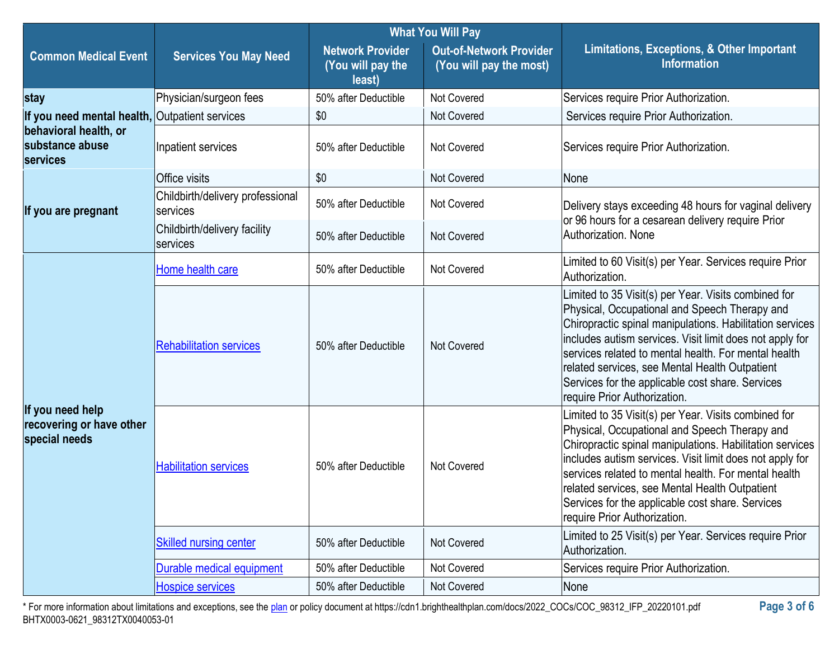|                                                               |                                              | <b>What You Will Pay</b>                               |                                                           |                                                                                                                                                                                                                                                                                                                                                                                                                              |
|---------------------------------------------------------------|----------------------------------------------|--------------------------------------------------------|-----------------------------------------------------------|------------------------------------------------------------------------------------------------------------------------------------------------------------------------------------------------------------------------------------------------------------------------------------------------------------------------------------------------------------------------------------------------------------------------------|
| <b>Common Medical Event</b>                                   | <b>Services You May Need</b>                 | <b>Network Provider</b><br>(You will pay the<br>least) | <b>Out-of-Network Provider</b><br>(You will pay the most) | Limitations, Exceptions, & Other Important<br><b>Information</b>                                                                                                                                                                                                                                                                                                                                                             |
| stay                                                          | Physician/surgeon fees                       | 50% after Deductible                                   | <b>Not Covered</b>                                        | Services require Prior Authorization.                                                                                                                                                                                                                                                                                                                                                                                        |
| If you need mental health, Outpatient services                |                                              | \$0                                                    | <b>Not Covered</b>                                        | Services require Prior Authorization.                                                                                                                                                                                                                                                                                                                                                                                        |
| behavioral health, or<br>substance abuse<br>services          | Inpatient services                           | 50% after Deductible                                   | <b>Not Covered</b>                                        | Services require Prior Authorization.                                                                                                                                                                                                                                                                                                                                                                                        |
|                                                               | Office visits                                | \$0                                                    | Not Covered                                               | None                                                                                                                                                                                                                                                                                                                                                                                                                         |
| If you are pregnant                                           | Childbirth/delivery professional<br>services | 50% after Deductible                                   | <b>Not Covered</b>                                        | Delivery stays exceeding 48 hours for vaginal delivery<br>or 96 hours for a cesarean delivery require Prior                                                                                                                                                                                                                                                                                                                  |
|                                                               | Childbirth/delivery facility<br>services     | 50% after Deductible                                   | Not Covered                                               | Authorization. None                                                                                                                                                                                                                                                                                                                                                                                                          |
|                                                               | Home health care                             | 50% after Deductible                                   | Not Covered                                               | Limited to 60 Visit(s) per Year. Services require Prior<br>Authorization.                                                                                                                                                                                                                                                                                                                                                    |
| If you need help<br>recovering or have other<br>special needs | <b>Rehabilitation services</b>               | 50% after Deductible                                   | Not Covered                                               | Limited to 35 Visit(s) per Year. Visits combined for<br>Physical, Occupational and Speech Therapy and<br>Chiropractic spinal manipulations. Habilitation services<br>includes autism services. Visit limit does not apply for<br>Iservices related to mental health. For mental health<br>related services, see Mental Health Outpatient<br>Services for the applicable cost share. Services<br>require Prior Authorization. |
|                                                               | <b>Habilitation services</b>                 | 50% after Deductible                                   | Not Covered                                               | Limited to 35 Visit(s) per Year. Visits combined for<br>Physical, Occupational and Speech Therapy and<br>Chiropractic spinal manipulations. Habilitation services<br>includes autism services. Visit limit does not apply for<br>Iservices related to mental health. For mental health<br>related services, see Mental Health Outpatient<br>Services for the applicable cost share. Services<br>require Prior Authorization. |
|                                                               | <b>Skilled nursing center</b>                | 50% after Deductible                                   | Not Covered                                               | Limited to 25 Visit(s) per Year. Services require Prior<br>Authorization.                                                                                                                                                                                                                                                                                                                                                    |
|                                                               | <b>Ourable medical equipment</b>             | 50% after Deductible                                   | Not Covered                                               | Services require Prior Authorization.                                                                                                                                                                                                                                                                                                                                                                                        |
|                                                               | Hospice services                             | 50% after Deductible                                   | Not Covered                                               | None                                                                                                                                                                                                                                                                                                                                                                                                                         |

\* For more information about limitations and exceptions, see the [plan](https://www.healthcare.gov/sbc-glossary/#plan) or policy document at https://cdn1.brighthealthplan.com/docs/2022\_COCs/COC\_98312\_IFP\_20220101.pdf **Page 3 of 6** BHTX0003-0621\_98312TX0040053-01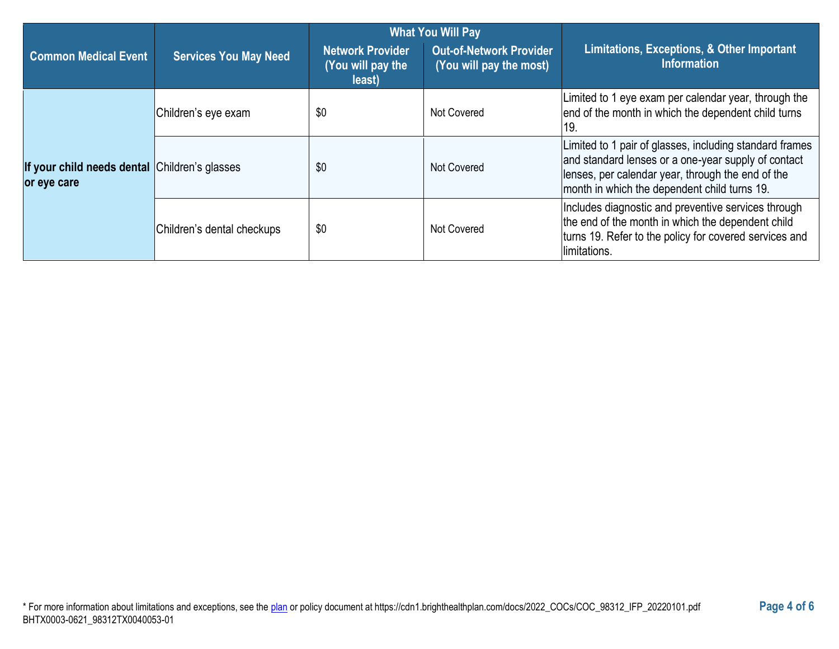|                                                              | <b>What You Will Pay</b>     |                                                        |                                                           |                                                                                                                                                                                                                     |
|--------------------------------------------------------------|------------------------------|--------------------------------------------------------|-----------------------------------------------------------|---------------------------------------------------------------------------------------------------------------------------------------------------------------------------------------------------------------------|
| <b>Common Medical Event</b>                                  | <b>Services You May Need</b> | <b>Network Provider</b><br>(You will pay the<br>least) | <b>Out-of-Network Provider</b><br>(You will pay the most) | Limitations, Exceptions, & Other Important<br><b>Information</b>                                                                                                                                                    |
|                                                              | Children's eye exam          | \$0                                                    | Not Covered                                               | Limited to 1 eye exam per calendar year, through the<br>end of the month in which the dependent child turns<br>19.                                                                                                  |
| If your child needs dental Children's glasses<br>or eye care |                              | \$0                                                    | Not Covered                                               | Limited to 1 pair of glasses, including standard frames<br>and standard lenses or a one-year supply of contact<br>lenses, per calendar year, through the end of the<br>month in which the dependent child turns 19. |
|                                                              | Children's dental checkups   | \$0                                                    | Not Covered                                               | Includes diagnostic and preventive services through<br>the end of the month in which the dependent child<br>turns 19. Refer to the policy for covered services and<br>limitations.                                  |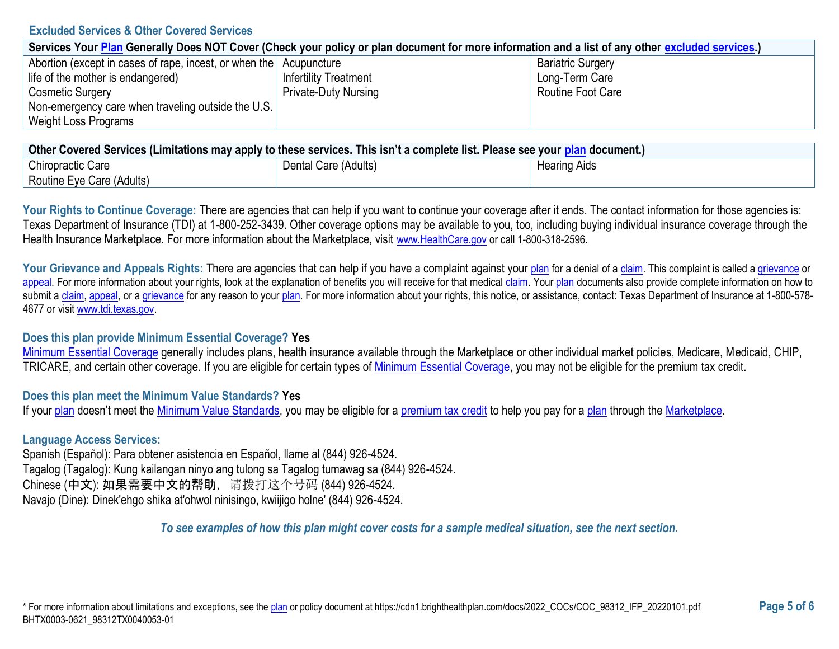### **Excluded Services & Other Covered Services**

| Services Your Plan Generally Does NOT Cover (Check your policy or plan document for more information and a list of any other excluded services.) |                              |                          |  |
|--------------------------------------------------------------------------------------------------------------------------------------------------|------------------------------|--------------------------|--|
| Abortion (except in cases of rape, incest, or when the Acupuncture                                                                               |                              | <b>Bariatric Surgery</b> |  |
| life of the mother is endangered)                                                                                                                | <b>Infertility Treatment</b> | Long-Term Care           |  |
| <b>Cosmetic Surgery</b>                                                                                                                          | <b>Private-Duty Nursing</b>  | <b>Routine Foot Care</b> |  |
| Non-emergency care when traveling outside the U.S.                                                                                               |                              |                          |  |
| Weight Loss Programs                                                                                                                             |                              |                          |  |

| ∣ Other Covered Services (Limitations may apply to these services. This isn't a complete list. Please see your <u>plan</u> document.) ∣ |                      |                     |  |
|-----------------------------------------------------------------------------------------------------------------------------------------|----------------------|---------------------|--|
| Chiropractic Care                                                                                                                       | Dental Care (Adults) | <b>Hearing Aids</b> |  |
| Routine Eye Care (Adults)                                                                                                               |                      |                     |  |

Your Rights to Continue Coverage: There are agencies that can help if you want to continue your coverage after it ends. The contact information for those agencies is: Texas Department of Insurance (TDI) at 1-800-252-3439. Other coverage options may be available to you, too, including buying individual insurance coverage through the Health Insurance Marketplace. For more information about the Marketplace, visit [www.HealthCare.gov](https://www.healthcare.gov/) or call 1-800-318-2596.

Your Grievance and Appeals Rights: There are agencies that can help if you have a complaint against your [plan](https://www.healthcare.gov/sbc-glossary/#plan) for a denial of [a claim.](https://www.healthcare.gov/sbc-glossary/#claim) This complaint is called a [grievance](https://www.healthcare.gov/sbc-glossary/#grievance) or [appeal.](https://www.healthcare.gov/sbc-glossary/#appeal) For more information about your rights, look at the explanation of benefits you will receive for that medical [claim.](https://www.healthcare.gov/sbc-glossary/#claim) You[r plan](https://www.healthcare.gov/sbc-glossary/#plan) documents also provide complete information on how to submit a [claim,](https://www.healthcare.gov/sbc-glossary/#claim) [appeal,](https://www.healthcare.gov/sbc-glossary/#appeal) or [a grievance](https://www.healthcare.gov/sbc-glossary/#grievance) for any reason to your [plan.](https://www.healthcare.gov/sbc-glossary/#plan) For more information about your rights, this notice, or assistance, contact: Texas Department of Insurance at 1-800-578-4677 or visi[t www.tdi.texas.gov.](https://www.tdi.texas.gov/)

## **Does this plan provide Minimum Essential Coverage? Yes**

[Minimum Essential Coverage](https://www.healthcare.gov/sbc-glossary/#minimum-essential-coverage) generally includes plans, health insurance available through the Marketplace or other individual market policies, Medicare, Medicaid, CHIP, TRICARE, and certain other coverage. If you are eligible for certain types of [Minimum Essential Coverage,](https://www.healthcare.gov/sbc-glossary/#minimum-essential-coverage) you may not be eligible for the premium tax credit.

## **Does this plan meet the Minimum Value Standards? Yes**

If you[r plan](https://www.healthcare.gov/sbc-glossary/#plan) doesn't meet the [Minimum Value Standards,](https://www.healthcare.gov/sbc-glossary/#minimum-value-standard) you may be eligible for a [premium tax credit](https://www.healthcare.gov/sbc-glossary/#premium-tax-credits) to help you pay for a [plan](https://www.healthcare.gov/sbc-glossary/#plan) through the [Marketplace.](https://www.healthcare.gov/sbc-glossary/#marketplace)

## **Language Access Services:**

Spanish (Español): Para obtener asistencia en Español, llame al (844) 926-4524. Tagalog (Tagalog): Kung kailangan ninyo ang tulong sa Tagalog tumawag sa (844) 926-4524. Chinese (中文): 如果需要中文的帮助,请拨打这个号码 (844) 926-4524. Navajo (Dine): Dinek'ehgo shika at'ohwol ninisingo, kwiijigo holne' (844) 926-4524.

*To see examples of how this plan might cover costs for a sample medical situation, see the next section.*